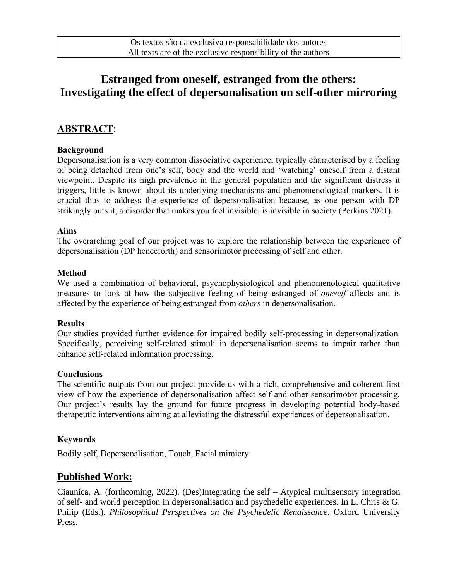# **Estranged from oneself, estranged from the others: Investigating the effect of depersonalisation on self-other mirroring**

# **ABSTRACT**:

## **Background**

Depersonalisation is a very common dissociative experience, typically characterised by a feeling of being detached from one's self, body and the world and 'watching' oneself from a distant viewpoint. Despite its high prevalence in the general population and the significant distress it triggers, little is known about its underlying mechanisms and phenomenological markers. It is crucial thus to address the experience of depersonalisation because, as one person with DP strikingly puts it, a disorder that makes you feel invisible, is invisible in society (Perkins 2021).

## **Aims**

The overarching goal of our project was to explore the relationship between the experience of depersonalisation (DP henceforth) and sensorimotor processing of self and other.

## **Method**

We used a combination of behavioral, psychophysiological and phenomenological qualitative measures to look at how the subjective feeling of being estranged of *oneself* affects and is affected by the experience of being estranged from *others* in depersonalisation.

#### **Results**

Our studies provided further evidence for impaired bodily self-processing in depersonalization. Specifically, perceiving self-related stimuli in depersonalisation seems to impair rather than enhance self-related information processing.

## **Conclusions**

The scientific outputs from our project provide us with a rich, comprehensive and coherent first view of how the experience of depersonalisation affect self and other sensorimotor processing. Our project's results lay the ground for future progress in developing potential body-based therapeutic interventions aiming at alleviating the distressful experiences of depersonalisation.

## **Keywords**

Bodily self, Depersonalisation, Touch, Facial mimicry

## **Published Work:**

Ciaunica, A. (forthcoming, 2022). (Des)Integrating the self – Atypical multisensory integration of self- and world perception in depersonalisation and psychedelic experiences. In L. Chris & G. Philip (Eds.). *Philosophical Perspectives on the Psychedelic Renaissance*. Oxford University Press.